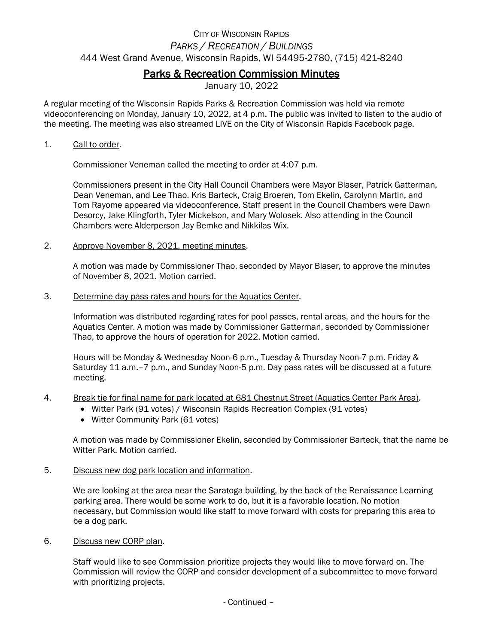## CITY OF WISCONSIN RAPIDS *PARKS / RECREATION / BUILDINGS* 444 West Grand Avenue, Wisconsin Rapids, WI 54495-2780, (715) 421-8240

## Parks & Recreation Commission Minutes

January 10, 2022

A regular meeting of the Wisconsin Rapids Parks & Recreation Commission was held via remote videoconferencing on Monday, January 10, 2022, at 4 p.m. The public was invited to listen to the audio of the meeting. The meeting was also streamed LIVE on the City of Wisconsin Rapids Facebook page.

## 1. Call to order.

Commissioner Veneman called the meeting to order at 4:07 p.m.

Commissioners present in the City Hall Council Chambers were Mayor Blaser, Patrick Gatterman, Dean Veneman, and Lee Thao. Kris Barteck, Craig Broeren, Tom Ekelin, Carolynn Martin, and Tom Rayome appeared via videoconference. Staff present in the Council Chambers were Dawn Desorcy, Jake Klingforth, Tyler Mickelson, and Mary Wolosek. Also attending in the Council Chambers were Alderperson Jay Bemke and Nikkilas Wix.

2. Approve November 8, 2021, meeting minutes.

A motion was made by Commissioner Thao, seconded by Mayor Blaser, to approve the minutes of November 8, 2021. Motion carried.

3. Determine day pass rates and hours for the Aquatics Center.

Information was distributed regarding rates for pool passes, rental areas, and the hours for the Aquatics Center. A motion was made by Commissioner Gatterman, seconded by Commissioner Thao, to approve the hours of operation for 2022. Motion carried.

Hours will be Monday & Wednesday Noon-6 p.m., Tuesday & Thursday Noon-7 p.m. Friday & Saturday 11 a.m.–7 p.m., and Sunday Noon-5 p.m. Day pass rates will be discussed at a future meeting.

- 4. Break tie for final name for park located at 681 Chestnut Street (Aquatics Center Park Area).
	- Witter Park (91 votes) / Wisconsin Rapids Recreation Complex (91 votes)
	- Witter Community Park (61 votes)

A motion was made by Commissioner Ekelin, seconded by Commissioner Barteck, that the name be Witter Park. Motion carried.

5. Discuss new dog park location and information.

We are looking at the area near the Saratoga building, by the back of the Renaissance Learning parking area. There would be some work to do, but it is a favorable location. No motion necessary, but Commission would like staff to move forward with costs for preparing this area to be a dog park.

6. Discuss new CORP plan.

Staff would like to see Commission prioritize projects they would like to move forward on. The Commission will review the CORP and consider development of a subcommittee to move forward with prioritizing projects.